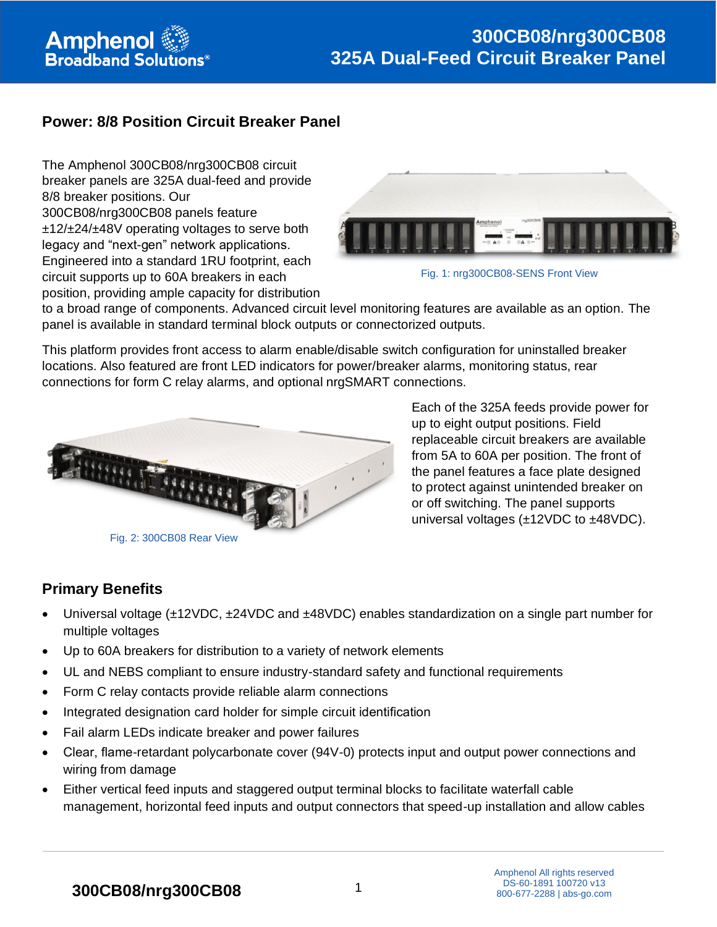# **Power: 8/8 Position Circuit Breaker Panel**

The Amphenol 300CB08/nrg300CB08 circuit breaker panels are 325A dual-feed and provide 8/8 breaker positions. Our 300CB08/nrg300CB08 panels feature ±12/±24/±48V operating voltages to serve both legacy and "next-gen" network applications. Engineered into a standard 1RU footprint, each circuit supports up to 60A breakers in each position, providing ample capacity for distribution



Fig. 1: nrg300CB08-SENS Front View

to a broad range of components. Advanced circuit level monitoring features are available as an option. The panel is available in standard terminal block outputs or connectorized outputs.

This platform provides front access to alarm enable/disable switch configuration for uninstalled breaker locations. Also featured are front LED indicators for power/breaker alarms, monitoring status, rear connections for form C relay alarms, and optional nrgSMART connections.



Each of the 325A feeds provide power for up to eight output positions. Field replaceable circuit breakers are available from 5A to 60A per position. The front of the panel features a face plate designed to protect against unintended breaker on or off switching. The panel supports universal voltages (±12VDC to ±48VDC).

## **Primary Benefits**

- Universal voltage (±12VDC, ±24VDC and ±48VDC) enables standardization on a single part number for multiple voltages
- Up to 60A breakers for distribution to a variety of network elements
- UL and NEBS compliant to ensure industry-standard safety and functional requirements
- Form C relay contacts provide reliable alarm connections
- Integrated designation card holder for simple circuit identification
- Fail alarm LEDs indicate breaker and power failures
- Clear, flame-retardant polycarbonate cover (94V-0) protects input and output power connections and wiring from damage
- Either vertical feed inputs and staggered output terminal blocks to facilitate waterfall cable management, horizontal feed inputs and output connectors that speed-up installation and allow cables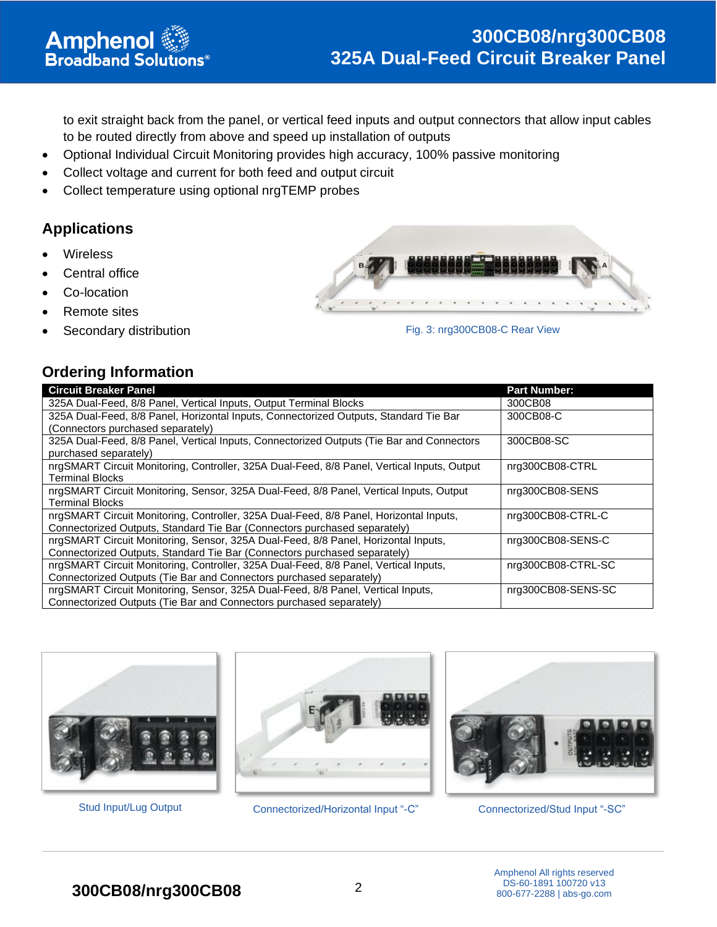to exit straight back from the panel, or vertical feed inputs and output connectors that allow input cables to be routed directly from above and speed up installation of outputs

- Optional Individual Circuit Monitoring provides high accuracy, 100% passive monitoring
- Collect voltage and current for both feed and output circuit
- Collect temperature using optional nrgTEMP probes

## **Applications**

- **Wireless**
- Central office
- Co-location
- Remote sites
- Secondary distribution

**Amphenol**<br>Broadband Solutions<sup>®</sup>



Fig. 3: nrg300CB08-C Rear View

#### **Ordering Information**

| <b>Circuit Breaker Panel</b>                                                                | <b>Part Number:</b> |
|---------------------------------------------------------------------------------------------|---------------------|
| 325A Dual-Feed, 8/8 Panel, Vertical Inputs, Output Terminal Blocks                          | 300CB08             |
| 325A Dual-Feed, 8/8 Panel, Horizontal Inputs, Connectorized Outputs, Standard Tie Bar       | 300CB08-C           |
| (Connectors purchased separately)                                                           |                     |
| 325A Dual-Feed, 8/8 Panel, Vertical Inputs, Connectorized Outputs (Tie Bar and Connectors   | 300CB08-SC          |
| purchased separately)                                                                       |                     |
| nrgSMART Circuit Monitoring, Controller, 325A Dual-Feed, 8/8 Panel, Vertical Inputs, Output | nrq300CB08-CTRL     |
| <b>Terminal Blocks</b>                                                                      |                     |
| nrgSMART Circuit Monitoring, Sensor, 325A Dual-Feed, 8/8 Panel, Vertical Inputs, Output     | nrg300CB08-SENS     |
| <b>Terminal Blocks</b>                                                                      |                     |
| nrgSMART Circuit Monitoring, Controller, 325A Dual-Feed, 8/8 Panel, Horizontal Inputs,      | nrg300CB08-CTRL-C   |
| Connectorized Outputs, Standard Tie Bar (Connectors purchased separately)                   |                     |
| nrgSMART Circuit Monitoring, Sensor, 325A Dual-Feed, 8/8 Panel, Horizontal Inputs,          | nrg300CB08-SENS-C   |
| Connectorized Outputs, Standard Tie Bar (Connectors purchased separately)                   |                     |
| nrgSMART Circuit Monitoring, Controller, 325A Dual-Feed, 8/8 Panel, Vertical Inputs,        | nrg300CB08-CTRL-SC  |
| Connectorized Outputs (Tie Bar and Connectors purchased separately)                         |                     |
| nrgSMART Circuit Monitoring, Sensor, 325A Dual-Feed, 8/8 Panel, Vertical Inputs,            | nrg300CB08-SENS-SC  |
| Connectorized Outputs (Tie Bar and Connectors purchased separately)                         |                     |





Stud Input/Lug Output Connectorized/Horizontal Input "-C" Connectorized/Stud Input "-SC"

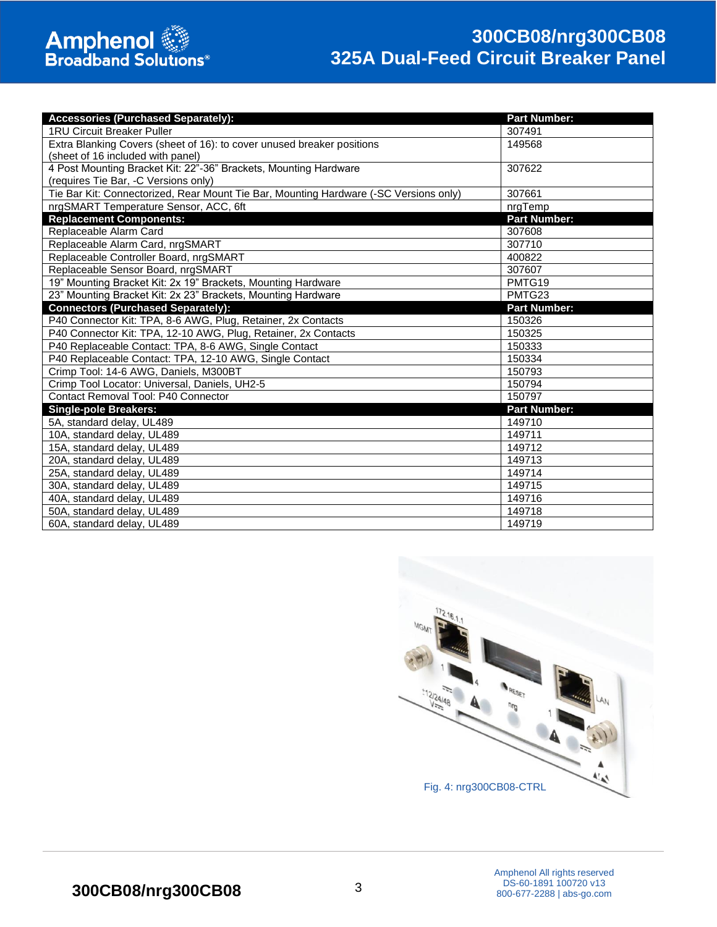# **300CB08/nrg300CB08 325A Dual-Feed Circuit Breaker Panel**

| <b>Accessories (Purchased Separately):</b>                                            | <b>Part Number:</b> |
|---------------------------------------------------------------------------------------|---------------------|
| <b>1RU Circuit Breaker Puller</b>                                                     | 307491              |
| Extra Blanking Covers (sheet of 16): to cover unused breaker positions                | 149568              |
| (sheet of 16 included with panel)                                                     |                     |
| 4 Post Mounting Bracket Kit: 22"-36" Brackets, Mounting Hardware                      | 307622              |
| (requires Tie Bar, -C Versions only)                                                  |                     |
| Tie Bar Kit: Connectorized, Rear Mount Tie Bar, Mounting Hardware (-SC Versions only) | 307661              |
| nrgSMART Temperature Sensor, ACC, 6ft                                                 | nrgTemp             |
| <b>Replacement Components:</b>                                                        | <b>Part Number:</b> |
| Replaceable Alarm Card                                                                | 307608              |
| Replaceable Alarm Card, nrgSMART                                                      | 307710              |
| Replaceable Controller Board, nrgSMART                                                | 400822              |
| Replaceable Sensor Board, nrgSMART                                                    | 307607              |
| 19" Mounting Bracket Kit: 2x 19" Brackets, Mounting Hardware                          | PMTG19              |
| 23" Mounting Bracket Kit: 2x 23" Brackets, Mounting Hardware                          | PMTG23              |
| <b>Connectors (Purchased Separately):</b>                                             | <b>Part Number:</b> |
| P40 Connector Kit: TPA, 8-6 AWG, Plug, Retainer, 2x Contacts                          | 150326              |
| P40 Connector Kit: TPA, 12-10 AWG, Plug, Retainer, 2x Contacts                        | 150325              |
| P40 Replaceable Contact: TPA, 8-6 AWG, Single Contact                                 | 150333              |
| P40 Replaceable Contact: TPA, 12-10 AWG, Single Contact                               | 150334              |
| Crimp Tool: 14-6 AWG, Daniels, M300BT                                                 | 150793              |
| Crimp Tool Locator: Universal, Daniels, UH2-5                                         | 150794              |
| <b>Contact Removal Tool: P40 Connector</b>                                            | 150797              |
| <b>Single-pole Breakers:</b>                                                          | <b>Part Number:</b> |
| 5A, standard delay, UL489                                                             | 149710              |
| 10A, standard delay, UL489                                                            | 149711              |
| 15A, standard delay, UL489                                                            | 149712              |
| 20A, standard delay, UL489                                                            | 149713              |
| 25A, standard delay, UL489                                                            | 149714              |
| 30A, standard delay, UL489                                                            | 149715              |
| 40A, standard delay, UL489                                                            | 149716              |
| 50A, standard delay, UL489                                                            | 149718              |
| 60A, standard delay, UL489                                                            | 149719              |

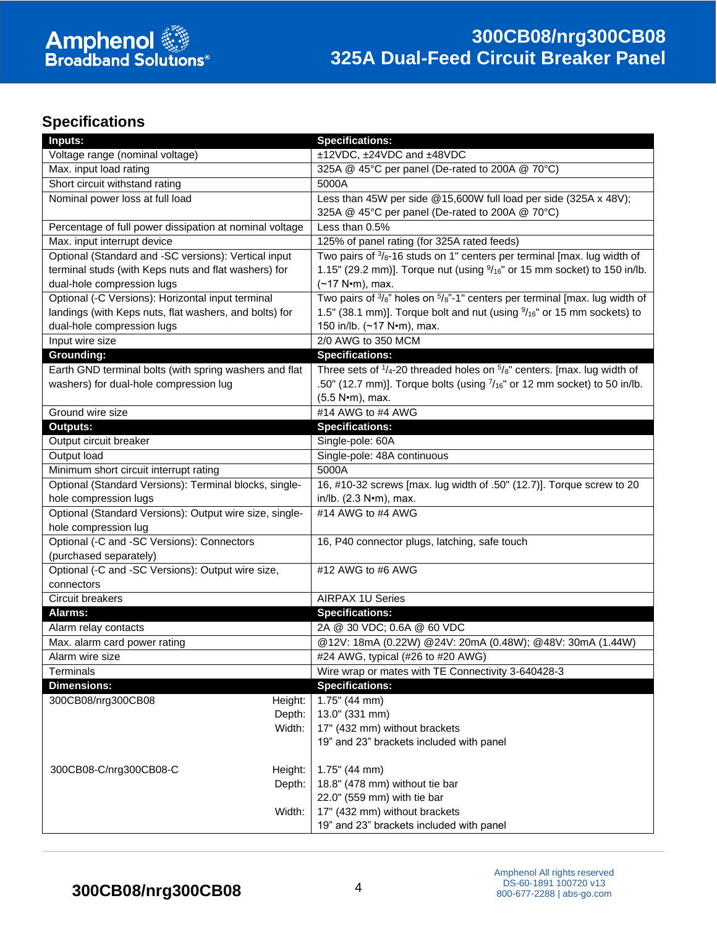# **Specifications**

| Inputs:                                                 | <b>Specifications:</b>                                                                           |
|---------------------------------------------------------|--------------------------------------------------------------------------------------------------|
| Voltage range (nominal voltage)                         | ±12VDC, ±24VDC and ±48VDC                                                                        |
| Max. input load rating                                  | 325A @ 45°C per panel (De-rated to 200A @ 70°C)                                                  |
| Short circuit withstand rating                          | 5000A                                                                                            |
| Nominal power loss at full load                         | Less than 45W per side @15,600W full load per side (325A x 48V);                                 |
|                                                         | 325A @ 45°C per panel (De-rated to 200A @ 70°C)                                                  |
| Percentage of full power dissipation at nominal voltage | Less than 0.5%                                                                                   |
| Max. input interrupt device                             | 125% of panel rating (for 325A rated feeds)                                                      |
| Optional (Standard and -SC versions): Vertical input    | Two pairs of $\frac{3}{8}$ -16 studs on 1" centers per terminal [max. lug width of               |
| terminal studs (with Keps nuts and flat washers) for    | 1.15" (29.2 mm)]. Torque nut (using $\frac{9}{16}$ " or 15 mm socket) to 150 in/lb.              |
| dual-hole compression lugs                              | $(-17 N·m)$ , max.                                                                               |
| Optional (-C Versions): Horizontal input terminal       | Two pairs of $\frac{3}{8}$ " holes on $\frac{5}{8}$ "-1" centers per terminal [max. lug width of |
| landings (with Keps nuts, flat washers, and bolts) for  | 1.5" (38.1 mm)]. Torque bolt and nut (using $\frac{9}{16}$ " or 15 mm sockets) to                |
| dual-hole compression lugs                              | 150 in/lb. (~17 N•m), max.                                                                       |
| Input wire size                                         | 2/0 AWG to 350 MCM                                                                               |
| Grounding:                                              | <b>Specifications:</b>                                                                           |
| Earth GND terminal bolts (with spring washers and flat  | Three sets of $1/4$ -20 threaded holes on $5/8$ " centers. [max. lug width of                    |
| washers) for dual-hole compression lug                  | .50" (12.7 mm)]. Torque bolts (using $\frac{7}{16}$ " or 12 mm socket) to 50 in/lb.              |
|                                                         | (5.5 N•m), max.                                                                                  |
| Ground wire size                                        | #14 AWG to #4 AWG                                                                                |
| <b>Outputs:</b>                                         | <b>Specifications:</b>                                                                           |
| Output circuit breaker                                  | Single-pole: 60A                                                                                 |
| Output load                                             | Single-pole: 48A continuous                                                                      |
| Minimum short circuit interrupt rating                  | 5000A                                                                                            |
| Optional (Standard Versions): Terminal blocks, single-  | 16, #10-32 screws [max. lug width of .50" (12.7)]. Torque screw to 20                            |
| hole compression lugs                                   | in/lb. (2.3 N•m), max.                                                                           |
| Optional (Standard Versions): Output wire size, single- | #14 AWG to #4 AWG                                                                                |
| hole compression lug                                    |                                                                                                  |
| Optional (-C and -SC Versions): Connectors              | 16, P40 connector plugs, latching, safe touch                                                    |
| (purchased separately)                                  |                                                                                                  |
| Optional (-C and -SC Versions): Output wire size,       | #12 AWG to #6 AWG                                                                                |
| connectors                                              |                                                                                                  |
| Circuit breakers                                        | <b>AIRPAX 1U Series</b>                                                                          |
| Alarms:                                                 | <b>Specifications:</b>                                                                           |
| Alarm relay contacts                                    | 2A @ 30 VDC; 0.6A @ 60 VDC                                                                       |
| Max. alarm card power rating                            | @12V: 18mA (0.22W) @24V: 20mA (0.48W); @48V: 30mA (1.44W)                                        |
| Alarm wire size                                         | #24 AWG, typical (#26 to #20 AWG)                                                                |
| Terminals                                               | Wire wrap or mates with TE Connectivity 3-640428-3                                               |
| <b>Dimensions:</b>                                      | <b>Specifications:</b>                                                                           |
| 300CB08/nrg300CB08<br>Height:                           | $1.75$ " (44 mm)                                                                                 |
| Depth:                                                  | 13.0" (331 mm)                                                                                   |
| Width:                                                  | 17" (432 mm) without brackets                                                                    |
|                                                         | 19" and 23" brackets included with panel                                                         |
|                                                         |                                                                                                  |
| 300CB08-C/nrg300CB08-C<br>Height:                       | $1.75$ " (44 mm)                                                                                 |
| Depth:                                                  | 18.8" (478 mm) without tie bar<br>22.0" (559 mm) with tie bar                                    |
|                                                         |                                                                                                  |
| Width:                                                  | 17" (432 mm) without brackets<br>19" and 23" brackets included with panel                        |
|                                                         |                                                                                                  |